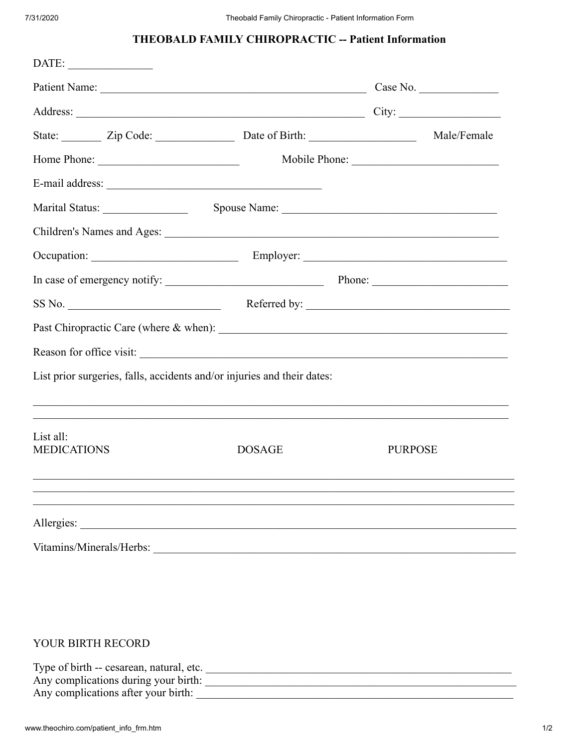## THEOBALD FAMILY CHIROPRACTIC -- Patient Information

|                                   |  |                                                                                   | Patient Name: Case No. |                |  |
|-----------------------------------|--|-----------------------------------------------------------------------------------|------------------------|----------------|--|
|                                   |  | Address: City: City:                                                              |                        |                |  |
|                                   |  | State: Zip Code: Date of Birth: Male/Female                                       |                        |                |  |
|                                   |  |                                                                                   |                        |                |  |
|                                   |  |                                                                                   |                        |                |  |
| Marital Status: _________________ |  | Spouse Name:                                                                      |                        |                |  |
|                                   |  |                                                                                   |                        |                |  |
|                                   |  |                                                                                   |                        |                |  |
|                                   |  |                                                                                   |                        |                |  |
| SS No.                            |  |                                                                                   |                        | Referred by:   |  |
|                                   |  |                                                                                   |                        |                |  |
|                                   |  |                                                                                   |                        |                |  |
|                                   |  | List prior surgeries, falls, accidents and/or injuries and their dates:           |                        |                |  |
|                                   |  | ,我们也不能在这里的时候,我们也不能在这里的时候,我们也不能不能不能不能不能不能不能不能不能不能不能不能不能。""我们,我们也不能不能不能不能不能不能不能不能不能 |                        |                |  |
| List all:<br><b>MEDICATIONS</b>   |  | <b>DOSAGE</b>                                                                     |                        | <b>PURPOSE</b> |  |
|                                   |  |                                                                                   |                        |                |  |
|                                   |  |                                                                                   |                        |                |  |
|                                   |  | Allergies:                                                                        |                        |                |  |
|                                   |  |                                                                                   |                        |                |  |

## YOUR BIRTH RECORD

| Type of birth -- cesarean, natural, etc. |  |
|------------------------------------------|--|
| Any complications during your birth:     |  |
| Any complications after your birth:      |  |